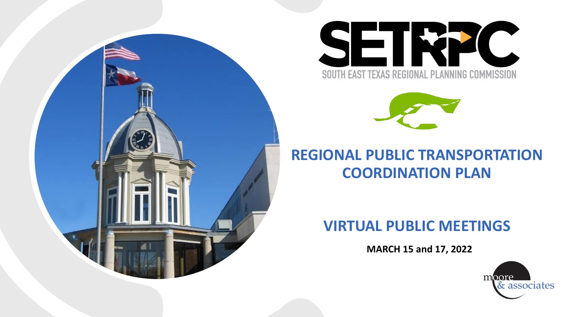





#### **REGIONAL PUBLIC TRANSPORTATION COORDINATION PLAN**

#### **VIRTUAL PUBLIC MEETINGS**

**MARCH 15 and 17, 2022**

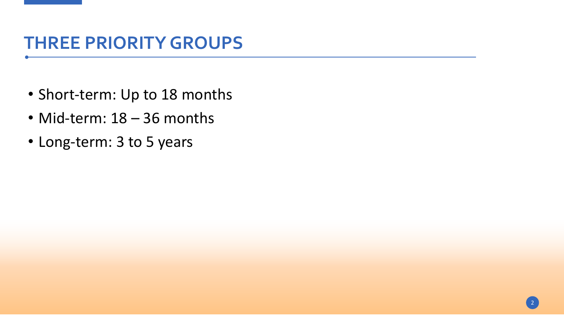#### **THREE PRIORITY GROUPS**

- Short-term: Up to 18 months
- Mid-term: 18 36 months
- Long-term: 3 to 5 years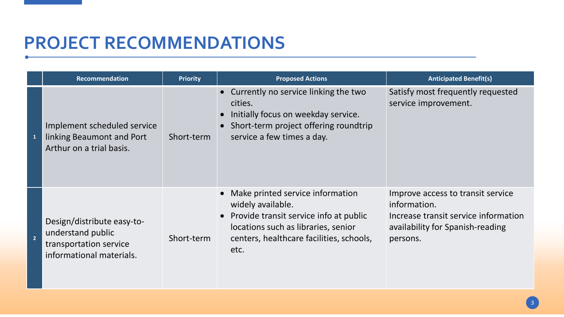| <b>Recommendation</b>                                                                                 | <b>Priority</b> | <b>Proposed Actions</b>                                                                                                                                                                      | <b>Anticipated Benefit(s)</b>                                                                                                             |
|-------------------------------------------------------------------------------------------------------|-----------------|----------------------------------------------------------------------------------------------------------------------------------------------------------------------------------------------|-------------------------------------------------------------------------------------------------------------------------------------------|
| Implement scheduled service<br>linking Beaumont and Port<br>Arthur on a trial basis.                  | Short-term      | • Currently no service linking the two<br>cities.<br>Initially focus on weekday service.<br>• Short-term project offering roundtrip<br>service a few times a day.                            | Satisfy most frequently requested<br>service improvement.                                                                                 |
| Design/distribute easy-to-<br>understand public<br>transportation service<br>informational materials. | Short-term      | Make printed service information<br>widely available.<br>• Provide transit service info at public<br>locations such as libraries, senior<br>centers, healthcare facilities, schools,<br>etc. | Improve access to transit service<br>information.<br>Increase transit service information<br>availability for Spanish-reading<br>persons. |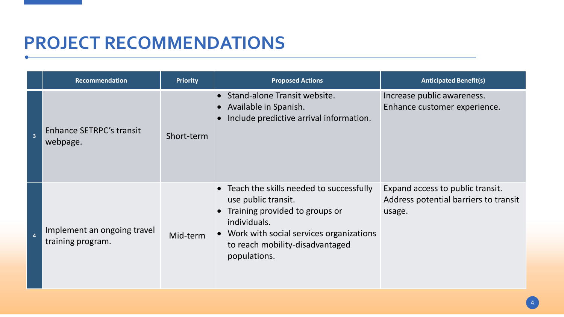|                         | Recommendation                                   | <b>Priority</b> | <b>Proposed Actions</b>                                                                                                                                                                                              | <b>Anticipated Benefit(s)</b>                                                       |
|-------------------------|--------------------------------------------------|-----------------|----------------------------------------------------------------------------------------------------------------------------------------------------------------------------------------------------------------------|-------------------------------------------------------------------------------------|
| $\overline{\mathbf{3}}$ | Enhance SETRPC's transit<br>webpage.             | Short-term      | • Stand-alone Transit website.<br>• Available in Spanish.<br>Include predictive arrival information.                                                                                                                 | Increase public awareness.<br>Enhance customer experience.                          |
| $\overline{a}$          | Implement an ongoing travel<br>training program. | Mid-term        | • Teach the skills needed to successfully<br>use public transit.<br>• Training provided to groups or<br>individuals.<br>• Work with social services organizations<br>to reach mobility-disadvantaged<br>populations. | Expand access to public transit.<br>Address potential barriers to transit<br>usage. |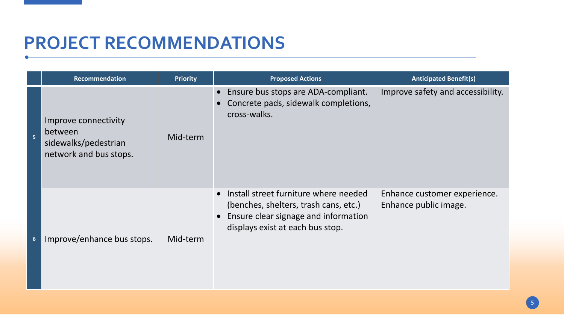|                         | Recommendation                                                                    | <b>Priority</b> | <b>Proposed Actions</b>                                                                                                                                                   | <b>Anticipated Benefit(s)</b>                         |
|-------------------------|-----------------------------------------------------------------------------------|-----------------|---------------------------------------------------------------------------------------------------------------------------------------------------------------------------|-------------------------------------------------------|
| $\overline{\mathbf{5}}$ | Improve connectivity<br>between<br>sidewalks/pedestrian<br>network and bus stops. | Mid-term        | Ensure bus stops are ADA-compliant.<br>Concrete pads, sidewalk completions,<br>cross-walks.                                                                               | Improve safety and accessibility.                     |
| $6\phantom{1}6$         | Improve/enhance bus stops.                                                        | Mid-term        | • Install street furniture where needed<br>(benches, shelters, trash cans, etc.)<br>Ensure clear signage and information<br>$\bullet$<br>displays exist at each bus stop. | Enhance customer experience.<br>Enhance public image. |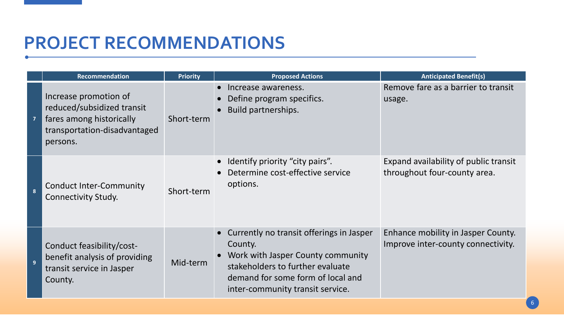|                | <b>Recommendation</b>                                                                                                       | <b>Priority</b> | <b>Proposed Actions</b>                                                                                                                                                                                   | <b>Anticipated Benefit(s)</b>                                            |
|----------------|-----------------------------------------------------------------------------------------------------------------------------|-----------------|-----------------------------------------------------------------------------------------------------------------------------------------------------------------------------------------------------------|--------------------------------------------------------------------------|
| $\overline{7}$ | Increase promotion of<br>reduced/subsidized transit<br>fares among historically<br>transportation-disadvantaged<br>persons. | Short-term      | Increase awareness.<br>Define program specifics.<br>Build partnerships.                                                                                                                                   | Remove fare as a barrier to transit<br>usage.                            |
|                | <b>Conduct Inter-Community</b><br><b>Connectivity Study.</b>                                                                | Short-term      | Identify priority "city pairs".<br>Determine cost-effective service<br>options.                                                                                                                           | Expand availability of public transit<br>throughout four-county area.    |
| $\overline{9}$ | Conduct feasibility/cost-<br>benefit analysis of providing<br>transit service in Jasper<br>County.                          | Mid-term        | • Currently no transit offerings in Jasper<br>County.<br>• Work with Jasper County community<br>stakeholders to further evaluate<br>demand for some form of local and<br>inter-community transit service. | Enhance mobility in Jasper County.<br>Improve inter-county connectivity. |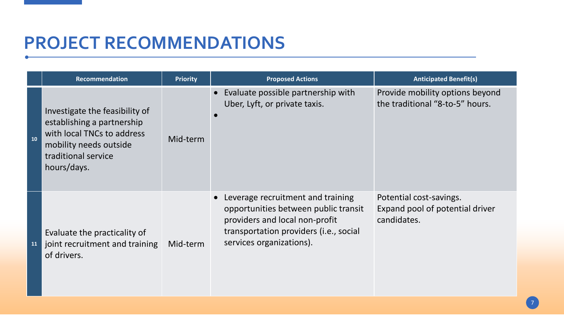|           | Recommendation                                                                                                                                             | <b>Priority</b> | <b>Proposed Actions</b>                                                                                                                                                           | <b>Anticipated Benefit(s)</b>                                             |
|-----------|------------------------------------------------------------------------------------------------------------------------------------------------------------|-----------------|-----------------------------------------------------------------------------------------------------------------------------------------------------------------------------------|---------------------------------------------------------------------------|
| 10        | Investigate the feasibility of<br>establishing a partnership<br>with local TNCs to address<br>mobility needs outside<br>traditional service<br>hours/days. | Mid-term        | Evaluate possible partnership with<br>Uber, Lyft, or private taxis.                                                                                                               | Provide mobility options beyond<br>the traditional "8-to-5" hours.        |
| <b>11</b> | Evaluate the practicality of<br>joint recruitment and training<br>of drivers.                                                                              | Mid-term        | Leverage recruitment and training<br>opportunities between public transit<br>providers and local non-profit<br>transportation providers (i.e., social<br>services organizations). | Potential cost-savings.<br>Expand pool of potential driver<br>candidates. |